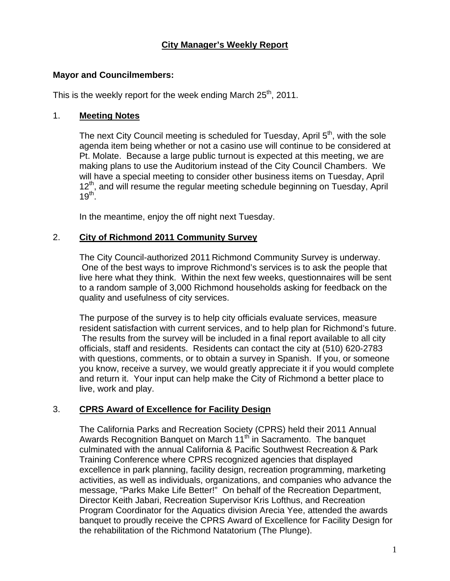## **City Manager's Weekly Report**

#### **Mayor and Councilmembers:**

This is the weekly report for the week ending March  $25<sup>th</sup>$ , 2011.

#### 1. **Meeting Notes**

The next City Council meeting is scheduled for Tuesday, April  $5<sup>th</sup>$ , with the sole agenda item being whether or not a casino use will continue to be considered at Pt. Molate. Because a large public turnout is expected at this meeting, we are making plans to use the Auditorium instead of the City Council Chambers. We will have a special meeting to consider other business items on Tuesday, April 12<sup>th</sup>, and will resume the regular meeting schedule beginning on Tuesday, April  $19<sup>th</sup>$ .

In the meantime, enjoy the off night next Tuesday.

### 2. **City of Richmond 2011 Community Survey**

The City Council-authorized 2011 Richmond Community Survey is underway. One of the best ways to improve Richmond's services is to ask the people that live here what they think. Within the next few weeks, questionnaires will be sent to a random sample of 3,000 Richmond households asking for feedback on the quality and usefulness of city services.

The purpose of the survey is to help city officials evaluate services, measure resident satisfaction with current services, and to help plan for Richmond's future. The results from the survey will be included in a final report available to all city officials, staff and residents. Residents can contact the city at (510) 620-2783 with questions, comments, or to obtain a survey in Spanish. If you, or someone you know, receive a survey, we would greatly appreciate it if you would complete and return it. Your input can help make the City of Richmond a better place to live, work and play.

## 3. **CPRS Award of Excellence for Facility Design**

The California Parks and Recreation Society (CPRS) held their 2011 Annual Awards Recognition Banquet on March 11<sup>th</sup> in Sacramento. The banquet culminated with the annual California & Pacific Southwest Recreation & Park Training Conference where CPRS recognized agencies that displayed excellence in park planning, facility design, recreation programming, marketing activities, as well as individuals, organizations, and companies who advance the message, "Parks Make Life Better!" On behalf of the Recreation Department, Director Keith Jabari, Recreation Supervisor Kris Lofthus, and Recreation Program Coordinator for the Aquatics division Arecia Yee, attended the awards banquet to proudly receive the CPRS Award of Excellence for Facility Design for the rehabilitation of the Richmond Natatorium (The Plunge).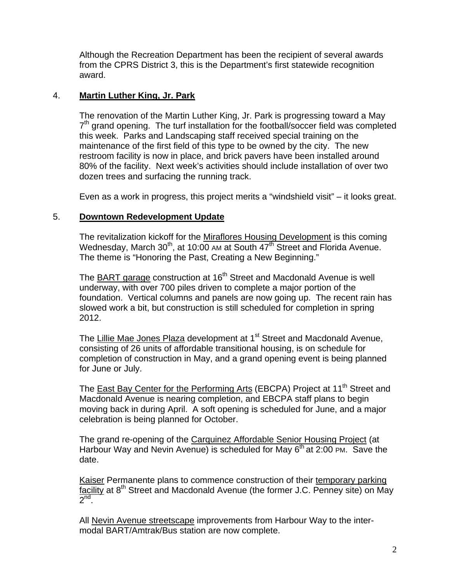Although the Recreation Department has been the recipient of several awards from the CPRS District 3, this is the Department's first statewide recognition award.

## 4. **Martin Luther King, Jr. Park**

The renovation of the Martin Luther King, Jr. Park is progressing toward a May  $7<sup>th</sup>$  grand opening. The turf installation for the football/soccer field was completed this week. Parks and Landscaping staff received special training on the maintenance of the first field of this type to be owned by the city. The new restroom facility is now in place, and brick pavers have been installed around 80% of the facility. Next week's activities should include installation of over two dozen trees and surfacing the running track.

Even as a work in progress, this project merits a "windshield visit" – it looks great.

### 5. **Downtown Redevelopment Update**

The revitalization kickoff for the Miraflores Housing Development is this coming Wednesday, March 30<sup>th</sup>, at 10:00 AM at South 47<sup>th</sup> Street and Florida Avenue. The theme is "Honoring the Past, Creating a New Beginning."

The BART garage construction at 16<sup>th</sup> Street and Macdonald Avenue is well underway, with over 700 piles driven to complete a major portion of the foundation. Vertical columns and panels are now going up. The recent rain has slowed work a bit, but construction is still scheduled for completion in spring 2012.

The Lillie Mae Jones Plaza development at 1<sup>st</sup> Street and Macdonald Avenue, consisting of 26 units of affordable transitional housing, is on schedule for completion of construction in May, and a grand opening event is being planned for June or July.

The East Bay Center for the Performing Arts (EBCPA) Project at 11<sup>th</sup> Street and Macdonald Avenue is nearing completion, and EBCPA staff plans to begin moving back in during April. A soft opening is scheduled for June, and a major celebration is being planned for October.

The grand re-opening of the Carquinez Affordable Senior Housing Project (at Harbour Way and Nevin Avenue) is scheduled for May 6<sup>th</sup> at 2:00 PM. Save the date.

Kaiser Permanente plans to commence construction of their temporary parking facility at  $8<sup>th</sup>$  Street and Macdonald Avenue (the former J.C. Penney site) on May  $2<sup>nd</sup>$ .

All Nevin Avenue streetscape improvements from Harbour Way to the intermodal BART/Amtrak/Bus station are now complete.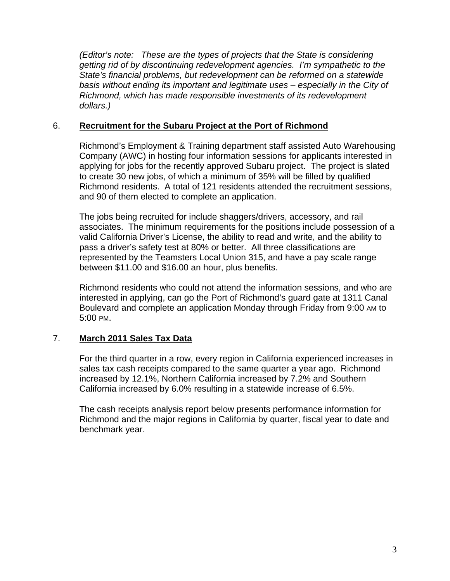*(Editor's note: These are the types of projects that the State is considering getting rid of by discontinuing redevelopment agencies. I'm sympathetic to the State's financial problems, but redevelopment can be reformed on a statewide basis without ending its important and legitimate uses – especially in the City of Richmond, which has made responsible investments of its redevelopment dollars.)* 

#### 6. **Recruitment for the Subaru Project at the Port of Richmond**

Richmond's Employment & Training department staff assisted Auto Warehousing Company (AWC) in hosting four information sessions for applicants interested in applying for jobs for the recently approved Subaru project. The project is slated to create 30 new jobs, of which a minimum of 35% will be filled by qualified Richmond residents. A total of 121 residents attended the recruitment sessions, and 90 of them elected to complete an application.

The jobs being recruited for include shaggers/drivers, accessory, and rail associates. The minimum requirements for the positions include possession of a valid California Driver's License, the ability to read and write, and the ability to pass a driver's safety test at 80% or better. All three classifications are represented by the Teamsters Local Union 315, and have a pay scale range between \$11.00 and \$16.00 an hour, plus benefits.

Richmond residents who could not attend the information sessions, and who are interested in applying, can go the Port of Richmond's guard gate at 1311 Canal Boulevard and complete an application Monday through Friday from 9:00 AM to 5:00 PM.

## 7. **March 2011 Sales Tax Data**

For the third quarter in a row, every region in California experienced increases in sales tax cash receipts compared to the same quarter a year ago. Richmond increased by 12.1%, Northern California increased by 7.2% and Southern California increased by 6.0% resulting in a statewide increase of 6.5%.

The cash receipts analysis report below presents performance information for Richmond and the major regions in California by quarter, fiscal year to date and benchmark year.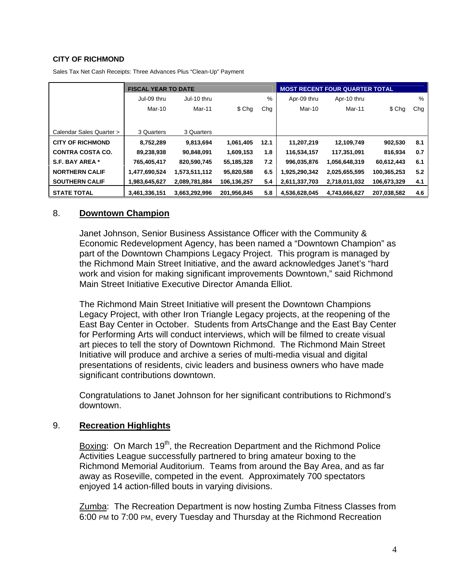#### **CITY OF RICHMOND**

|                          | <b>FISCAL YEAR TO DATE</b> |               |             |      | <b>MOST RECENT FOUR QUARTER TOTAL</b> |               |             |      |
|--------------------------|----------------------------|---------------|-------------|------|---------------------------------------|---------------|-------------|------|
|                          | Jul-09 thru                | Jul-10 thru   |             | %    | Apr-09 thru                           | Apr-10 thru   |             | $\%$ |
|                          | Mar-10                     | Mar-11        | \$ Chg      | Chg  | Mar-10                                | Mar-11        | \$ Chg      | Chg  |
|                          |                            |               |             |      |                                       |               |             |      |
| Calendar Sales Quarter > | 3 Quarters                 | 3 Quarters    |             |      |                                       |               |             |      |
| <b>CITY OF RICHMOND</b>  | 8,752,289                  | 9,813,694     | 1,061,405   | 12.1 | 11,207,219                            | 12,109,749    | 902,530     | 8.1  |
| <b>CONTRA COSTA CO.</b>  | 89,238,938                 | 90,848,091    | 1,609,153   | 1.8  | 116,534,157                           | 117,351,091   | 816,934     | 0.7  |
| S.F. BAY AREA *          | 765,405,417                | 820,590,745   | 55,185,328  | 7.2  | 996,035,876                           | 1,056,648,319 | 60,612,443  | 6.1  |
| <b>NORTHERN CALIF</b>    | 1,477,690,524              | 1,573,511,112 | 95,820,588  | 6.5  | 1,925,290,342                         | 2,025,655,595 | 100,365,253 | 5.2  |
| <b>SOUTHERN CALIF</b>    | 1,983,645,627              | 2,089,781,884 | 106,136,257 | 5.4  | 2,611,337,703                         | 2,718,011,032 | 106,673,329 | 4.1  |
| <b>STATE TOTAL</b>       | 3,461,336,151              | 3,663,292,996 | 201.956.845 | 5.8  | 4.536.628.045                         | 4,743,666,627 | 207.038.582 | 4.6  |

Sales Tax Net Cash Receipts: Three Advances Plus "Clean-Up" Payment

#### 8. **Downtown Champion**

Janet Johnson, Senior Business Assistance Officer with the Community & Economic Redevelopment Agency, has been named a "Downtown Champion" as part of the Downtown Champions Legacy Project. This program is managed by the Richmond Main Street Initiative, and the award acknowledges Janet's "hard work and vision for making significant improvements Downtown," said Richmond Main Street Initiative Executive Director Amanda Elliot.

The Richmond Main Street Initiative will present the Downtown Champions Legacy Project, with other Iron Triangle Legacy projects, at the reopening of the East Bay Center in October. Students from ArtsChange and the East Bay Center for Performing Arts will conduct interviews, which will be filmed to create visual art pieces to tell the story of Downtown Richmond. The Richmond Main Street Initiative will produce and archive a series of multi-media visual and digital presentations of residents, civic leaders and business owners who have made significant contributions downtown.

Congratulations to Janet Johnson for her significant contributions to Richmond's downtown.

#### 9. **Recreation Highlights**

Boxing: On March 19<sup>th</sup>, the Recreation Department and the Richmond Police Activities League successfully partnered to bring amateur boxing to the Richmond Memorial Auditorium. Teams from around the Bay Area, and as far away as Roseville, competed in the event. Approximately 700 spectators enjoyed 14 action-filled bouts in varying divisions.

Zumba: The Recreation Department is now hosting Zumba Fitness Classes from 6:00 PM to 7:00 PM, every Tuesday and Thursday at the Richmond Recreation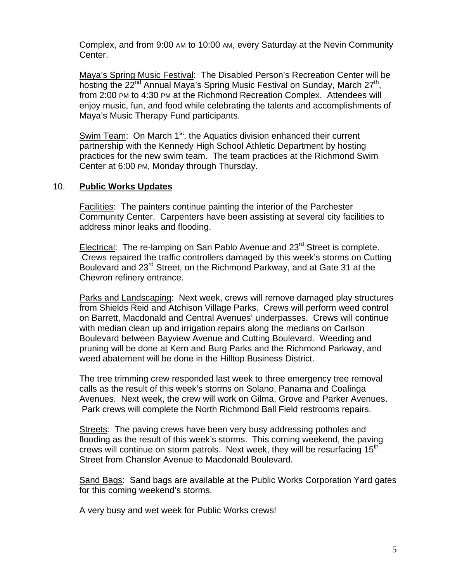Complex, and from 9:00 AM to 10:00 AM, every Saturday at the Nevin Community Center.

Maya's Spring Music Festival: The Disabled Person's Recreation Center will be hosting the 22<sup>nd</sup> Annual Maya's Spring Music Festival on Sunday, March 27<sup>th</sup>, from 2:00 PM to 4:30 PM at the Richmond Recreation Complex. Attendees will enjoy music, fun, and food while celebrating the talents and accomplishments of Maya's Music Therapy Fund participants.

Swim Team: On March 1<sup>st</sup>, the Aquatics division enhanced their current partnership with the Kennedy High School Athletic Department by hosting practices for the new swim team. The team practices at the Richmond Swim Center at 6:00 PM, Monday through Thursday.

#### 10. **Public Works Updates**

Facilities: The painters continue painting the interior of the Parchester Community Center. Carpenters have been assisting at several city facilities to address minor leaks and flooding.

Electrical: The re-lamping on San Pablo Avenue and 23<sup>rd</sup> Street is complete. Crews repaired the traffic controllers damaged by this week's storms on Cutting Boulevard and 23<sup>rd</sup> Street, on the Richmond Parkway, and at Gate 31 at the Chevron refinery entrance.

Parks and Landscaping: Next week, crews will remove damaged play structures from Shields Reid and Atchison Village Parks. Crews will perform weed control on Barrett, Macdonald and Central Avenues' underpasses. Crews will continue with median clean up and irrigation repairs along the medians on Carlson Boulevard between Bayview Avenue and Cutting Boulevard. Weeding and pruning will be done at Kern and Burg Parks and the Richmond Parkway, and weed abatement will be done in the Hilltop Business District.

The tree trimming crew responded last week to three emergency tree removal calls as the result of this week's storms on Solano, Panama and Coalinga Avenues. Next week, the crew will work on Gilma, Grove and Parker Avenues. Park crews will complete the North Richmond Ball Field restrooms repairs.

Streets: The paving crews have been very busy addressing potholes and flooding as the result of this week's storms. This coming weekend, the paving crews will continue on storm patrols. Next week, they will be resurfacing  $15<sup>th</sup>$ Street from Chanslor Avenue to Macdonald Boulevard.

Sand Bags: Sand bags are available at the Public Works Corporation Yard gates for this coming weekend's storms.

A very busy and wet week for Public Works crews!